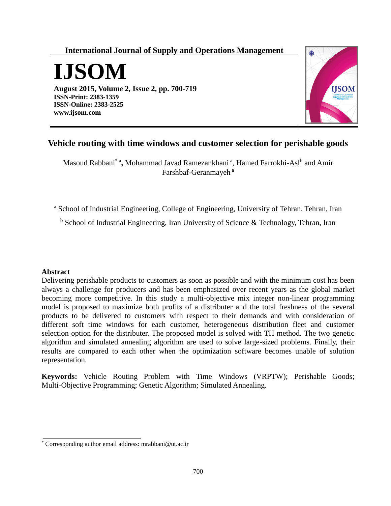# **International Journal of Supply and Operations Management**



**August 2015, Volume 2, Issue 2, pp. 700-719 ISSN-Print: 2383-1359 ISSN-Online: 2383-2525 www.ijsom.com**



# **Vehicle routing with time windows and customer selection for perishable goods**

Masoud Rabbani<sup>\* a</sup>, Mohammad Javad Ramezankhani<sup>a</sup>, Hamed Farrokhi-Asl<sup>b</sup> and Amir Farshbaf-Geranmayeh<sup>a</sup>

<sup>a</sup> School of Industrial Engineering, College of Engineering, University of Tehran, Tehran, Iran

<sup>b</sup> School of Industrial Engineering, Iran University of Science & Technology, Tehran, Iran

### **Abstract**

Delivering perishable products to customers as soon as possible and with the minimum cost has been always a challenge for producers and has been emphasized over recent years as the global market becoming more competitive. In this study a multi-objective mix integer non-linear programming model is proposed to maximize both profits of a distributer and the total freshness of the several products to be delivered to customers with respect to their demands and with consideration of different soft time windows for each customer, heterogeneous distribution fleet and customer selection option for the distributer. The proposed model is solved with TH method. The two genetic algorithm and simulated annealing algorithm are used to solve large-sized problems. Finally, their results are compared to each other when the optimization software becomes unable of solution representation.

**Keywords:** Vehicle Routing Problem with Time Windows (VRPTW); Perishable Goods; Multi-Objective Programming; Genetic Algorithm; Simulated Annealing.

<sup>\*</sup> Corresponding author email address: mrabbani@ut.ac.ir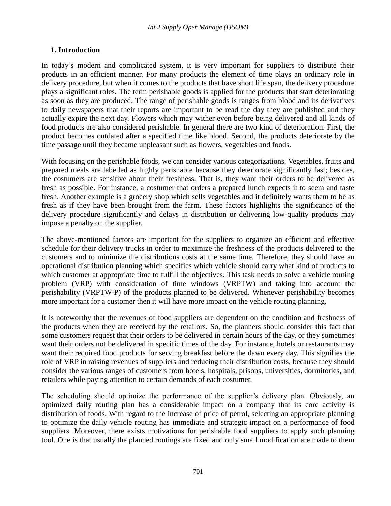### **1. Introduction**

In today's modern and complicated system, it is very important for suppliers to distribute their products in an efficient manner. For many products the element of time plays an ordinary role in delivery procedure, but when it comes to the products that have short life span, the delivery procedure plays a significant roles. The term perishable goods is applied for the products that start deteriorating as soon as they are produced. The range of perishable goods is ranges from blood and its derivatives to daily newspapers that their reports are important to be read the day they are published and they actually expire the next day. Flowers which may wither even before being delivered and all kinds of food products are also considered perishable. In general there are two kind of deterioration. First, the product becomes outdated after a specified time like blood. Second, the products deteriorate by the time passage until they became unpleasant such as flowers, vegetables and foods.

With focusing on the perishable foods, we can consider various categorizations. Vegetables, fruits and prepared meals are labelled as highly perishable because they deteriorate significantly fast; besides, the costumers are sensitive about their freshness. That is, they want their orders to be delivered as fresh as possible. For instance, a costumer that orders a prepared lunch expects it to seem and taste fresh. Another example is a grocery shop which sells vegetables and it definitely wants them to be as fresh as if they have been brought from the farm. These factors highlights the significance of the delivery procedure significantly and delays in distribution or delivering low-quality products may impose a penalty on the supplier.

The above-mentioned factors are important for the suppliers to organize an efficient and effective schedule for their delivery trucks in order to maximize the freshness of the products delivered to the customers and to minimize the distributions costs at the same time. Therefore, they should have an operational distribution planning which specifies which vehicle should carry what kind of products to which customer at appropriate time to fulfill the objectives. This task needs to solve a vehicle routing problem (VRP) with consideration of time windows (VRPTW) and taking into account the perishability (VRPTW-P) of the products planned to be delivered. Whenever perishability becomes more important for a customer then it will have more impact on the vehicle routing planning.

It is noteworthy that the revenues of food suppliers are dependent on the condition and freshness of the products when they are received by the retailors. So, the planners should consider this fact that some customers request that their orders to be delivered in certain hours of the day, or they sometimes want their orders not be delivered in specific times of the day. For instance, hotels or restaurants may want their required food products for serving breakfast before the dawn every day. This signifies the role of VRP in raising revenues of suppliers and reducing their distribution costs, because they should consider the various ranges of customers from hotels, hospitals, prisons, universities, dormitories, and retailers while paying attention to certain demands of each costumer.

The scheduling should optimize the performance of the supplier's delivery plan. Obviously, an optimized daily routing plan has a considerable impact on a company that its core activity is distribution of foods. With regard to the increase of price of petrol, selecting an appropriate planning to optimize the daily vehicle routing has immediate and strategic impact on a performance of food suppliers. Moreover, there exists motivations for perishable food suppliers to apply such planning tool. One is that usually the planned routings are fixed and only small modification are made to them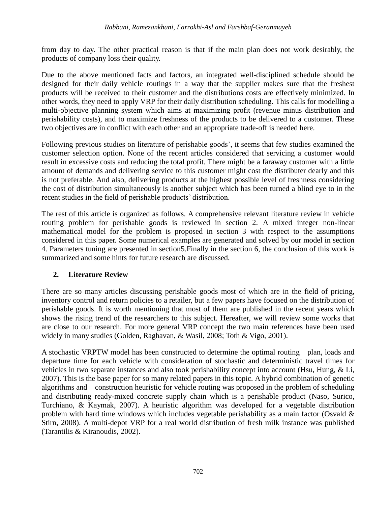from day to day. The other practical reason is that if the main plan does not work desirably, the products of company loss their quality.

Due to the above mentioned facts and factors, an integrated well-disciplined schedule should be designed for their daily vehicle routings in a way that the supplier makes sure that the freshest products will be received to their customer and the distributions costs are effectively minimized. In other words, they need to apply VRP for their daily distribution scheduling. This calls for modelling a multi-objective planning system which aims at maximizing profit (revenue minus distribution and perishability costs), and to maximize freshness of the products to be delivered to a customer. These two objectives are in conflict with each other and an appropriate trade-off is needed here.

Following previous studies on literature of perishable goods', it seems that few studies examined the customer selection option. None of the recent articles considered that servicing a customer would result in excessive costs and reducing the total profit. There might be a faraway customer with a little amount of demands and delivering service to this customer might cost the distributer dearly and this is not preferable. And also, delivering products at the highest possible level of freshness considering the cost of distribution simultaneously is another subject which has been turned a blind eye to in the recent studies in the field of perishable products' distribution.

The rest of this article is organized as follows. A comprehensive relevant literature review in vehicle routing problem for perishable goods is reviewed in section 2. A mixed integer non-linear mathematical model for the problem is proposed in section 3 with respect to the assumptions considered in this paper. Some numerical examples are generated and solved by our model in section 4. Parameters tuning are presented in section5.Finally in the section 6, the conclusion of this work is summarized and some hints for future research are discussed.

## **2. Literature Review**

There are so many articles discussing perishable goods most of which are in the field of pricing, inventory control and return policies to a retailer, but a few papers have focused on the distribution of perishable goods. It is worth mentioning that most of them are published in the recent years which shows the rising trend of the researchers to this subject. Hereafter, we will review some works that are close to our research. For more general VRP concept the two main references have been used widely in many studies (Golden, Raghavan, & Wasil, 2008; Toth & Vigo, 2001).

A stochastic VRPTW model has been constructed to determine the optimal routing plan, loads and departure time for each vehicle with consideration of stochastic and deterministic travel times for vehicles in two separate instances and also took perishability concept into account (Hsu, Hung, & Li, 2007). This is the base paper for so many related papers in this topic. A hybrid combination of genetic algorithms and construction heuristic for vehicle routing was proposed in the problem of scheduling and distributing ready-mixed concrete supply chain which is a perishable product (Naso, Surico, Turchiano, & Kaymak, 2007). A heuristic algorithm was developed for a vegetable distribution problem with hard time windows which includes vegetable perishability as a main factor (Osvald  $\&$ Stirn, 2008). A multi-depot VRP for a real world distribution of fresh milk instance was published (Tarantilis & Kiranoudis, 2002).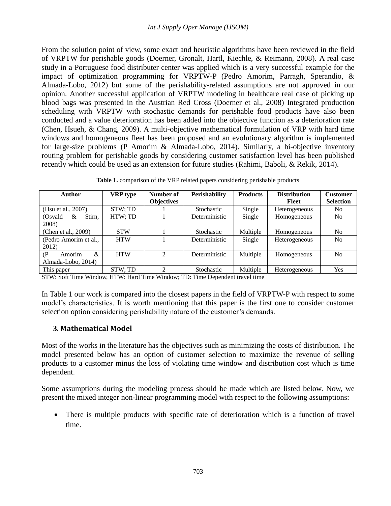From the solution point of view, some exact and heuristic algorithms have been reviewed in the field of VRPTW for perishable goods (Doerner, Gronalt, Hartl, Kiechle, & Reimann, 2008). A real case study in a Portuguese food distributer center was applied which is a very successful example for the impact of optimization programming for VRPTW-P (Pedro Amorim, Parragh, Sperandio, & Almada-Lobo, 2012) but some of the perishability-related assumptions are not approved in our opinion. Another successful application of VRPTW modeling in healthcare real case of picking up blood bags was presented in the Austrian Red Cross (Doerner et al., 2008) Integrated production scheduling with VRPTW with stochastic demands for perishable food products have also been conducted and a value deterioration has been added into the objective function as a deterioration rate (Chen, Hsueh, & Chang, 2009). A multi-objective mathematical formulation of VRP with hard time windows and homogeneous fleet has been proposed and an evolutionary algorithm is implemented for large-size problems (P Amorim & Almada-Lobo, 2014). Similarly, a bi-objective inventory routing problem for perishable goods by considering customer satisfaction level has been published recently which could be used as an extension for future studies (Rahimi, Baboli, & Rekik, 2014).

|  |  |  |  |  | Table 1. comparison of the VRP related papers considering perishable products |  |  |
|--|--|--|--|--|-------------------------------------------------------------------------------|--|--|
|--|--|--|--|--|-------------------------------------------------------------------------------|--|--|

| <b>Author</b>                                                      | <b>VRP</b> type | Number of         | Perishability | <b>Products</b> | <b>Distribution</b> | <b>Customer</b>  |
|--------------------------------------------------------------------|-----------------|-------------------|---------------|-----------------|---------------------|------------------|
|                                                                    |                 | <b>Objectives</b> |               |                 | Fleet               | <b>Selection</b> |
| (Hsu et al., 2007)                                                 | STW; TD         |                   | Stochastic    | Single          | Heterogeneous       | N <sub>0</sub>   |
| Stirn.<br>(Osvald<br>&<br>2008)                                    | HTW; TD         |                   | Deterministic | Single          | Homogeneous         | N <sub>0</sub>   |
| (Chen et al., 2009)                                                | <b>STW</b>      |                   | Stochastic    | Multiple        | Homogeneous         | N <sub>0</sub>   |
| (Pedro Amorim et al.,<br>2012)                                     | <b>HTW</b>      |                   | Deterministic | Single          | Heterogeneous       | N <sub>o</sub>   |
| Amorim<br>$\mathcal{R}_{\mathcal{L}}$<br>(P)<br>Almada-Lobo, 2014) | <b>HTW</b>      | $\mathfrak{D}$    | Deterministic | Multiple        | Homogeneous         | N <sub>0</sub>   |
| This paper                                                         | STW: TD         | ↑                 | Stochastic    | Multiple        | Heterogeneous       | Yes              |

STW: Soft Time Window, HTW: Hard Time Window; TD: Time Dependent travel time

In Table 1 our work is compared into the closest papers in the field of VRPTW-P with respect to some model's characteristics. It is worth mentioning that this paper is the first one to consider customer selection option considering perishability nature of the customer's demands.

### **3. Mathematical Model**

Most of the works in the literature has the objectives such as minimizing the costs of distribution. The model presented below has an option of customer selection to maximize the revenue of selling products to a customer minus the loss of violating time window and distribution cost which is time dependent.

Some assumptions during the modeling process should be made which are listed below. Now, we present the mixed integer non-linear programming model with respect to the following assumptions:

 There is multiple products with specific rate of deterioration which is a function of travel time.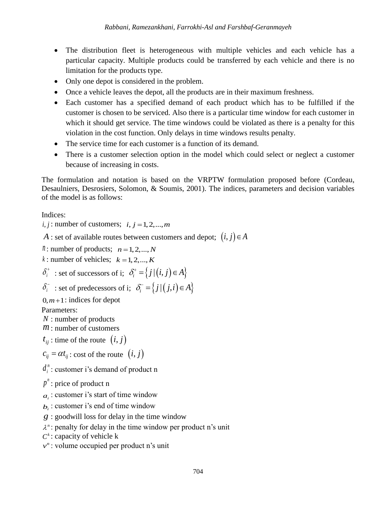- The distribution fleet is heterogeneous with multiple vehicles and each vehicle has a particular capacity. Multiple products could be transferred by each vehicle and there is no limitation for the products type.
- Only one depot is considered in the problem.
- Once a vehicle leaves the depot, all the products are in their maximum freshness.
- Each customer has a specified demand of each product which has to be fulfilled if the customer is chosen to be serviced. Also there is a particular time window for each customer in which it should get service. The time windows could be violated as there is a penalty for this violation in the cost function. Only delays in time windows results penalty.
- The service time for each customer is a function of its demand.
- There is a customer selection option in the model which could select or neglect a customer because of increasing in costs.

The formulation and notation is based on the VRPTW formulation proposed before (Cordeau, Desaulniers, Desrosiers, Solomon, & Soumis, 2001). The indices, parameters and decision variables of the model is as follows:

Indices:

 $i, j$ : number of customers;  $i, j = 1, 2, \dots, m$ 

*A* : set of available routes between customers and depot;  $(i, j) \in A$ 

*n*: number of products;  $n = 1, 2, ..., N$  $k:$  number of vehicles;  $k = 1, 2, ..., K$  $\delta_i^+$ : set of successors of i;  $\delta_i^+ = \{j | (i, j) \in A\}$ 

$$
\delta_i^- \text{ : set of predecessors of i; } \delta_i^- = \{j | (j, i) \in A\}
$$

 $0, m+1$ : indices for depot

Parameters:

- *N* : number of products
- *m* : number of customers
- $t_{ij}$  : time of the route  $(i, j)$

 $c_{ij} = \alpha t_{ij}$ : cost of the route  $(i, j)$ 

*n*  $d_i$ <sup>"</sup>: customer i's demand of product n

*n p* : price of product n

 $a_i$ : customer i's start of time window

- $b_i$ : customer i's end of time window
- *g* : goodwill loss for delay in the time window
- $\lambda$ <sup>n</sup>: penalty for delay in the time window per product n's unit
- $C^k$ : capacity of vehicle k
- $v^n$ : volume occupied per product n's unit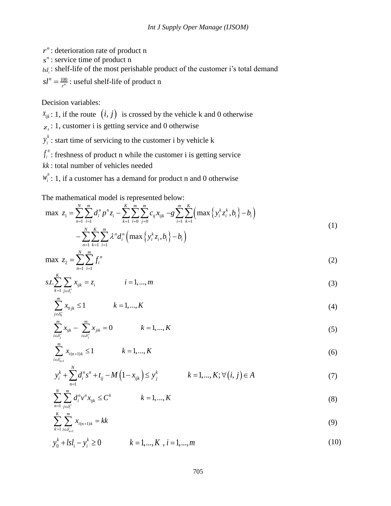- *n r* : deterioration rate of product n
- *n s* : service time of product n

 $_{lsl_i}$ : shelf-life of the most perishable product of the customer i's total demand

 $\frac{n}{n} = \frac{100}{n}$  $sl^n = \frac{100}{r^n}$ : useful shelf-life of product n

Decision variables:

 $x_{ijk}$ : 1, if the route  $(i, j)$  is crossed by the vehicle k and 0 otherwise

- $z_i$ : 1, customer i is getting service and 0 otherwise
- *k*  $y_i^*$ : start time of servicing to the customer i by vehicle k
- *n*  $f_i^{\pi}$ : freshness of product n while the customer i is getting service
- *kk* : total number of vehicles needed
- 

The mathematical model is represented below:

$$
w_i^n: 1, \text{ if a customer has a demand for product n and 0 otherwise}
$$
  
The mathematical model is represented below:  

$$
\max z_1 = \sum_{n=1}^N \sum_{i=1}^m d_i^n p^n z_i - \sum_{k=1}^K \sum_{i=0}^m \sum_{j=0}^m c_{ij} x_{ijk} - g \sum_{i=1}^m \sum_{k=1}^K \left( \max \{ y_i^k z_i^k, b_i \} - b_i \right)
$$

$$
- \sum_{n=1}^N \sum_{k=1}^K \sum_{i=1}^m \lambda^n d_i^n \left( \max \{ y_i^k z_i, b_i \} - b_i \right)
$$
(1)

<span id="page-5-0"></span>
$$
\max z_2 = \sum_{n=1}^{N} \sum_{i=1}^{m} f_i^n \tag{2}
$$

<span id="page-5-1"></span>
$$
s.t. \sum_{k=1}^{K} \sum_{j \in \delta_i^+} x_{ijk} = z_i \qquad i = 1,...,m
$$
\n(3)

<span id="page-5-3"></span><span id="page-5-2"></span>
$$
\sum_{j \in \delta_0^+}^m x_{0jk} \le 1 \qquad k = 1, ..., K \tag{4}
$$

<span id="page-5-4"></span>
$$
\sum_{j \in \delta_0^+} x_{0jk} \le 1 \qquad k = 1, ..., K
$$
\n
$$
\sum_{i \in \delta_j^-} x_{ijk} - \sum_{i \in \delta_j^+}^m x_{jik} = 0 \qquad k = 1, ..., K
$$
\n(4)

$$
\sum_{i \in \delta_{n+1}}^m x_{i(n+1)k} \le 1 \qquad k = 1, ..., K \tag{6}
$$

$$
\sum_{i \in \delta_{n+1}^-} x_{i(n+1)k} \le 1 \qquad k = 1, ..., K
$$
\n
$$
y_i^k + \sum_{n=1}^N d_i^n s^n + t_{ij} - M\left(1 - x_{ijk}\right) \le y_j^k \qquad k = 1, ..., K; \forall (i, j) \in A
$$
\n(7)

$$
y_{i} + \sum_{n=1}^{N} a_{i} s + t_{ij} - M \left( 1 - x_{ijk} \right) \le y_{j} \qquad \kappa = 1, ..., K, \forall (i, j) \in A
$$
  

$$
\sum_{n=1}^{N} \sum_{j \in \delta_{i}^{+}}^{m} d_{i}^{n} v^{n} x_{ijk} \le C^{k} \qquad k = 1, ..., K
$$
  
(8)

<span id="page-5-9"></span><span id="page-5-8"></span><span id="page-5-7"></span><span id="page-5-6"></span><span id="page-5-5"></span>
$$
\sum_{k=1}^{n-1} \sum_{i \in \delta_{n+1}^-}^m x_{i(n+1)k} = kk \tag{9}
$$

$$
\sum_{k=1}^{k} \sum_{i \in \delta_{n+1}^{-}} \lambda_{i}^{(k+1)k}
$$
  
\n
$$
y_0^k + l s l_i - y_i^k \ge 0
$$
  $k = 1,..., K, i = 1,..., m$  (10)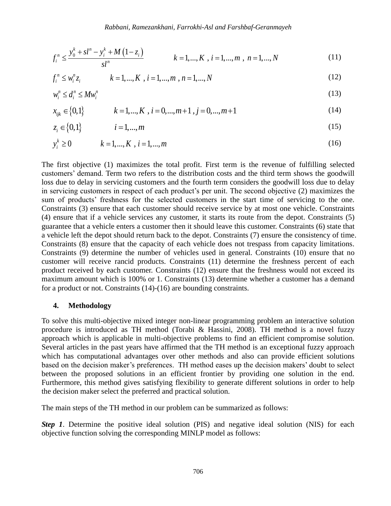Rabbani, Ramezankhani, Farrokhi-Asl and Farshbaf-Geranmayeh  
\n
$$
f_i^n \le \frac{y_0^k + sl^n - y_i^k + M(1 - z_i)}{sl^n} \qquad k = 1, ..., K, \ i = 1, ..., m, \ n = 1, ..., N
$$
\n(11)

$$
J_i \leq \frac{1}{s l^n} \qquad \qquad K = 1, ..., K \, , \, l = 1, ..., m \, , \, n = 1, ..., N \tag{11}
$$
\n
$$
f_i^n \leq w_i^n z_i \qquad \qquad k = 1, ..., K \, , \, i = 1, ..., m \, , \, n = 1, ..., N \tag{12}
$$

$$
w_i^n \le d_i^n \le M w_i^n
$$
  
\n
$$
x_{ijk} \in \{0, 1\}
$$
  $k = 1, ..., K, i = 0, ..., m+1, j = 0, ..., m+1$  (14)

<span id="page-6-2"></span><span id="page-6-1"></span><span id="page-6-0"></span>
$$
x_{ijk} \in \{0, 1\} \qquad k = 1, \dots, K \, , \, i = 0, \dots, m+1 \, , \, j = 0, \dots, m+1 \tag{14}
$$

$$
z_i \in \{0,1\} \qquad i = 1,...,m \tag{15}
$$

$$
y_i^k \ge 0 \qquad k = 1, ..., K, \ i = 1, ..., m
$$
 (16)

The first objective [\(1\)](#page-5-0) maximizes the total profit. First term is the revenue of fulfilling selected customers' demand. Term two refers to the distribution costs and the third term shows the goodwill loss due to delay in servicing customers and the fourth term considers the goodwill loss due to delay in servicing customers in respect of each product's per unit. The second objective [\(2\)](#page-5-1) maximizes the sum of products' freshness for the selected customers in the start time of servicing to the one. Constraints [\(3\)](#page-5-2) ensure that each customer should receive service by at most one vehicle. Constraints [\(4\)](#page-5-3) ensure that if a vehicle services any customer, it starts its route from the depot. Constraints [\(5\)](#page-5-4) guarantee that a vehicle enters a customer then it should leave this customer. Constraints [\(6\)](#page-5-5) state that a vehicle left the depot should return back to the depot. Constraints [\(7\)](#page-5-6) ensure the consistency of time. Constraints [\(8\)](#page-5-7) ensure that the capacity of each vehicle does not trespass from capacity limitations. Constraints [\(9\)](#page-5-8) determine the number of vehicles used in general. Constraints [\(10\)](#page-5-9) ensure that no customer will receive rancid products. Constraints [\(11\)](#page-6-0) determine the freshness percent of each product received by each customer. Constraints [\(12\)](#page-6-1) ensure that the freshness would not exceed its maximum amount which is 100% or 1. Constraints [\(13\)](#page-6-2) determine whether a customer has a demand for a product or not. Constraints (14)-(16) are bounding constraints.

#### **4. Methodology**

To solve this multi-objective mixed integer non-linear programming problem an interactive solution procedure is introduced as TH method (Torabi & Hassini, 2008). TH method is a novel fuzzy approach which is applicable in multi-objective problems to find an efficient compromise solution. Several articles in the past years have affirmed that the TH method is an exceptional fuzzy approach which has computational advantages over other methods and also can provide efficient solutions based on the decision maker's preferences. TH method eases up the decision makers' doubt to select between the proposed solutions in an efficient frontier by providing one solution in the end. Furthermore, this method gives satisfying flexibility to generate different solutions in order to help the decision maker select the preferred and practical solution.

The main steps of the TH method in our problem can be summarized as follows:

*Step 1*. Determine the positive ideal solution (PIS) and negative ideal solution (NIS) for each objective function solving the corresponding MINLP model as follows: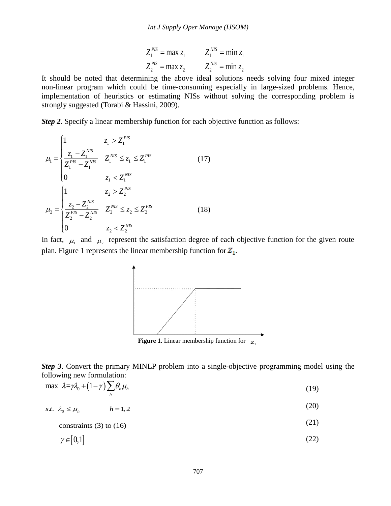$$
Z_1^{PIS} = \max z_1
$$
  $Z_1^{NIS} = \min z_1$   
\n $Z_2^{PIS} = \max z_2$   $Z_2^{NIS} = \min z_2$ 

It should be noted that determining the above ideal solutions needs solving four mixed integer non-linear program which could be time-consuming especially in large-sized problems. Hence, implementation of heuristics or estimating NISs without solving the corresponding problem is strongly suggested (Torabi & Hassini, 2009).

*Step 2*. Specify a linear membership function for each objective function as follows:

$$
\mu_{1} = \begin{cases}\n1 & z_{1} > Z_{1}^{PIS} \\
\frac{z_{1} - Z_{1}^{NIS}}{Z_{1}^{PIS} - Z_{1}^{NIS}} & Z_{1}^{NIS} \le z_{1} \le Z_{1}^{PIS} \\
0 & z_{1} < Z_{1}^{NIS} \\
\frac{z_{1} & z_{2} > Z_{2}^{PIS}}{Z_{2}^{PIS} - Z_{2}^{NIS}} & Z_{2}^{NIS} \le z_{2} \le Z_{2}^{PIS} \\
0 & z_{2} < Z_{2}^{NIS}\n\end{cases}
$$
(17)

In fact,  $\mu_1$  and  $\mu_2$  represent the satisfaction degree of each objective function for the given route plan. [Figure 1](#page-7-0) represents the linear membership function for  $Z_1$ .



**Figure 1.** Linear membership function for  $z_1$ 

<span id="page-7-0"></span>*Step 3*. Convert the primary MINLP problem into a single-objective programming model using the

following new formulation:  
\n
$$
\max \lambda = \gamma \lambda_0 + (1 - \gamma) \sum_h \theta_h \mu_h
$$
\n(19)

s.t.  $\lambda_0 \leq \mu_h$   $h = 1,2$ (20)

$$
constraints (3) to (16) \tag{21}
$$

$$
\gamma \in [0,1] \tag{22}
$$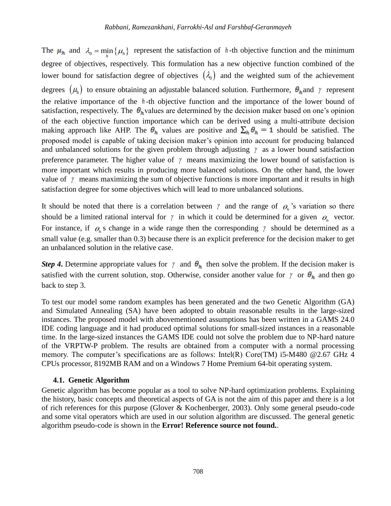The  $\mu_h$  and  $\lambda_0 = \min_h \{\mu_h\}$  represent the satisfaction of h-th objective function and the minimum degree of objectives, respectively. This formulation has a new objective function combined of the lower bound for satisfaction degree of objectives  $(\lambda_0)$  and the weighted sum of the achievement degrees  $(\mu_h)$  to ensure obtaining an adjustable balanced solution. Furthermore,  $\theta_h$  and  $\gamma$  represent the relative importance of the *<sup>h</sup>* -th objective function and the importance of the lower bound of satisfaction, respectively. The  $\theta_h$  values are determined by the decision maker based on one's opinion of the each objective function importance which can be derived using a multi-attribute decision making approach like AHP. The  $\theta_h$  values are positive and  $\sum_h \theta_h = 1$  should be satisfied. The proposed model is capable of taking decision maker's opinion into account for producing balanced and unbalanced solutions for the given problem through adjusting  $\gamma$  as a lower bound satisfaction preference parameter. The higher value of  $\gamma$  means maximizing the lower bound of satisfaction is more important which results in producing more balanced solutions. On the other hand, the lower value of  $\gamma$  means maximizing the sum of objective functions is more important and it results in high satisfaction degree for some objectives which will lead to more unbalanced solutions.

It should be noted that there is a correlation between  $\gamma$  and the range of  $\theta_h$ 's variation so there should be a limited rational interval for  $\gamma$  in which it could be determined for a given  $\rho$ <sub>h</sub> vector. For instance, if  $\rho_h$ 's change in a wide range then the corresponding  $\gamma$  should be determined as a small value (e.g. smaller than 0.3) because there is an explicit preference for the decision maker to get an unbalanced solution in the relative case.

*Step 4*. Determine appropriate values for  $\gamma$  and  $\theta_h$  then solve the problem. If the decision maker is satisfied with the current solution, stop. Otherwise, consider another value for  $\gamma$  or  $\theta_h$  and then go back to step 3.

To test our model some random examples has been generated and the two Genetic Algorithm (GA) and Simulated Annealing (SA) have been adopted to obtain reasonable results in the large-sized instances. The proposed model with abovementioned assumptions has been written in a GAMS 24.0 IDE coding language and it had produced optimal solutions for small-sized instances in a reasonable time. In the large-sized instances the GAMS IDE could not solve the problem due to NP-hard nature of the VRPTW-P problem. The results are obtained from a computer with a normal processing memory. The computer's specifications are as follows: Intel(R) Core(TM) i5-M480 @2.67 GHz 4 CPUs processor, 8192MB RAM and on a Windows 7 Home Premium 64-bit operating system.

### **4.1. Genetic Algorithm**

Genetic algorithm has become popular as a tool to solve NP-hard optimization problems. Explaining the history, basic concepts and theoretical aspects of GA is not the aim of this paper and there is a lot of rich references for this purpose (Glover & Kochenberger, 2003). Only some general pseudo-code and some vital operators which are used in our solution algorithm are discussed. The general genetic algorithm pseudo-code is shown in the **Error! Reference source not found.**.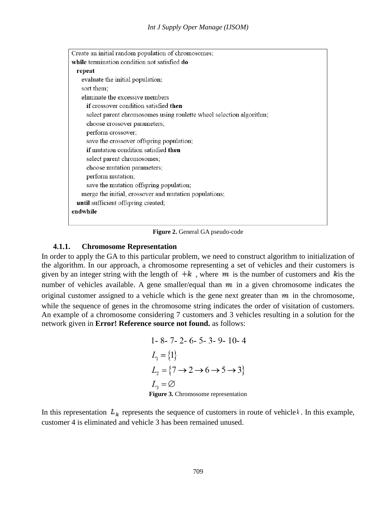Create an initial random population of chromosomes; while termination condition not satisfied do repeat evaluate the initial population; sort them: eliminate the excessive members if crossover condition satisfied then select parent chromosomes using roulette wheel selection algorithm; choose crossover parameters; perform crossover; save the crossover offspring population; if mutation condition satisfied then select parent chromosomes; choose mutation parameters; perform mutation; save the mutation offspring population; merge the initial, crossover and mutation populations; until sufficient offspring created; endwhile

**Figure 2.** General GA pseudo-code

#### **4.1.1. Chromosome Representation**

In order to apply the GA to this particular problem, we need to construct algorithm to initialization of the algorithm. In our approach, a chromosome representing a set of vehicles and their customers is given by an integer string with the length of  $+k$ , where m is the number of customers and k is the number of vehicles available. A gene smaller/equal than  $m$  in a given chromosome indicates the original customer assigned to a vehicle which is the gene next greater than  $m$  in the chromosome, while the sequence of genes in the chromosome string indicates the order of visitation of customers. An example of a chromosome considering 7 customers and 3 vehicles resulting in a solution for the network given in **Error! Reference source not found.** as follows:

1- 8- 7- 2- 6- 5- 3- 9- 10- 4  
\n
$$
L_1 = \{1\}
$$
  
\n $L_2 = \{7 \rightarrow 2 \rightarrow 6 \rightarrow 5 \rightarrow 3\}$   
\n $L_3 = \emptyset$   
\nFigure 3. Chromosome representation

In this representation  $L_k$  represents the sequence of customers in route of vehicle k. In this example, customer 4 is eliminated and vehicle 3 has been remained unused.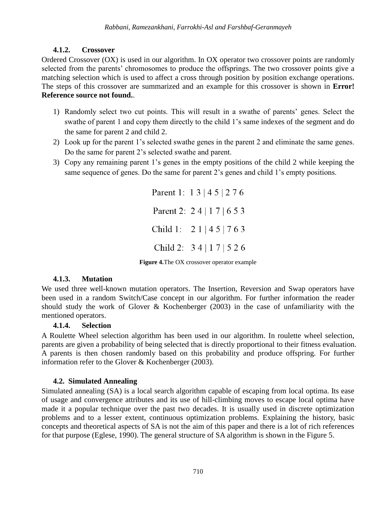### **4.1.2. Crossover**

Ordered Crossover (OX) is used in our algorithm. In OX operator two crossover points are randomly selected from the parents' chromosomes to produce the offsprings. The two crossover points give a matching selection which is used to affect a cross through position by position exchange operations. The steps of this crossover are summarized and an example for this crossover is shown in **Error! Reference source not found.**.

- 1) Randomly select two cut points. This will result in a swathe of parents' genes. Select the swathe of parent 1 and copy them directly to the child 1's same indexes of the segment and do the same for parent 2 and child 2.
- 2) Look up for the parent 1's selected swathe genes in the parent 2 and eliminate the same genes. Do the same for parent 2's selected swathe and parent.
- 3) Copy any remaining parent 1's genes in the empty positions of the child 2 while keeping the same sequence of genes. Do the same for parent 2's genes and child 1's empty positions.

Parent 1: 1 3 | 4 5 | 2 7 6 Parent 2: 24 | 17 | 653 Child 1:  $21 | 45 | 763$ Child 2: 3 4 | 1 7 | 5 2 6

**Figure 4.**The OX crossover operator example

### **4.1.3. Mutation**

We used three well-known mutation operators. The Insertion, Reversion and Swap operators have been used in a random Switch/Case concept in our algorithm. For further information the reader should study the work of Glover & Kochenberger (2003) in the case of unfamiliarity with the mentioned operators.

### **4.1.4. Selection**

A Roulette Wheel selection algorithm has been used in our algorithm. In roulette wheel selection, parents are given a probability of being selected that is directly proportional to their fitness evaluation. A parents is then chosen randomly based on this probability and produce offspring. For further information refer to the Glover & Kochenberger (2003).

### **4.2. Simulated Annealing**

Simulated annealing (SA) is a local search algorithm capable of escaping from local optima. Its ease of usage and convergence attributes and its use of hill-climbing moves to escape local optima have made it a popular technique over the past two decades. It is usually used in discrete optimization problems and to a lesser extent, continuous optimization problems. Explaining the history, basic concepts and theoretical aspects of SA is not the aim of this paper and there is a lot of rich references for that purpose (Eglese, 1990). The general structure of SA algorithm is shown in the Figure 5.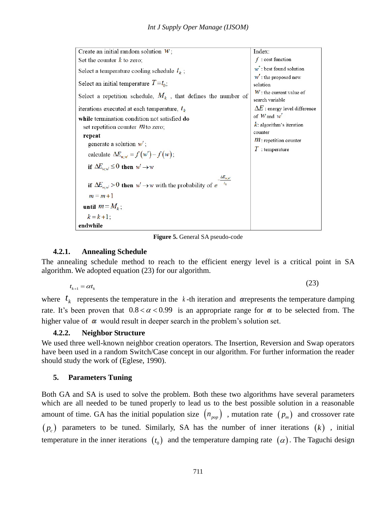| Create an initial random solution $W$ ;                                                                                                                                                                                         | Index:                                                                                                     |
|---------------------------------------------------------------------------------------------------------------------------------------------------------------------------------------------------------------------------------|------------------------------------------------------------------------------------------------------------|
| Set the counter $k$ to zero;                                                                                                                                                                                                    | $f$ : cost function                                                                                        |
| Select a temperature cooling schedule $t_k$ ;                                                                                                                                                                                   | $w^*$ : best found solution                                                                                |
| Select an initial temperature $T = t_0$ ;                                                                                                                                                                                       | $W'$ : the proposed new<br>solution                                                                        |
| Select a repetition schedule, $M_k$ , that defines the number of                                                                                                                                                                | $W$ : the current value of<br>search variable                                                              |
| iterations executed at each temperature, $t_k$                                                                                                                                                                                  | $\Delta E$ : energy level difference                                                                       |
| while termination condition not satisfied do<br>set repetition counter $m$ to zero;<br>repeat<br>generate a solution $w'$ ;<br>calculate $\Delta E_{w,w'} = f(w') - f(w);$<br>if $\Delta E_{ww} \leq 0$ then $w' \rightarrow w$ | of $W$ and $w'$<br>$k$ : algorithm's iteration<br>counter<br>$m$ : repetition counter<br>$T$ : temperature |
| $\Delta E_{w,w'}$<br>if $\Delta E_{ww} > 0$ then $w' \rightarrow w$ with the probability of e<br>$m = m + 1$<br>until $m = M_k$ ;<br>$k = k + 1$ ;<br>endwhile                                                                  |                                                                                                            |

**Figure 5.** General SA pseudo-code

#### **4.2.1. Annealing Schedule**

The annealing schedule method to reach to the efficient energy level is a critical point in SA algorithm. We adopted equation [\(23\)](#page-11-0) for our algorithm.

<span id="page-11-0"></span> $(2)$ 

$$
t_{k+1} = \alpha t_k \tag{23}
$$

where  $t_k$  represents the temperature in the k-th iteration and **a**represents the temperature damping rate. It's been proven that  $0.8 < \alpha < 0.99$  is an appropriate range for  $\alpha$  to be selected from. The higher value of  $\alpha$  would result in deeper search in the problem's solution set.

### **4.2.2. Neighbor Structure**

We used three well-known neighbor creation operators. The Insertion, Reversion and Swap operators have been used in a random Switch/Case concept in our algorithm. For further information the reader should study the work of (Eglese, 1990).

### **5. Parameters Tuning**

Both GA and SA is used to solve the problem. Both these two algorithms have several parameters which are all needed to be tuned properly to lead us to the best possible solution in a reasonable amount of time. GA has the initial population size  $\binom{n_{pop}}{p_{pop}}$ , mutation rate  $\binom{p_m}{p_m}$  and crossover rate  $(p_c)$  parameters to be tuned. Similarly, SA has the number of inner iterations  $(k)$ , initial temperature in the inner iterations  $(t_0)$  and the temperature damping rate  $(\alpha)$ . The Taguchi design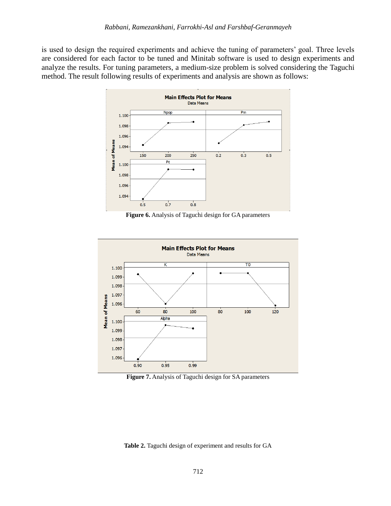is used to design the required experiments and achieve the tuning of parameters' goal. Three levels are considered for each factor to be tuned and Minitab software is used to design experiments and analyze the results. For tuning parameters, a medium-size problem is solved considering the Taguchi method. The result following results of experiments and analysis are shown as follows:



**Figure 6.** Analysis of Taguchi design for GA parameters



**Figure 7.** Analysis of Taguchi design for SA parameters

**Table 2.** Taguchi design of experiment and results for GA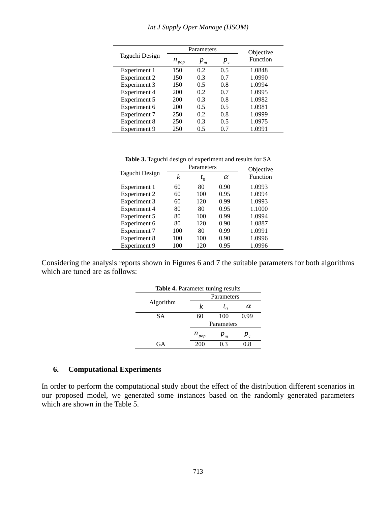|                     |            | Parameters | Objective |                 |
|---------------------|------------|------------|-----------|-----------------|
| Taguchi Design      | $n_{pop}$  | $p_{m}$    | $p_{c}$   | <b>Function</b> |
| Experiment 1        | 150        | 0.2        | 0.5       | 1.0848          |
| Experiment 2        | 150        | 0.3        | 0.7       | 1.0990          |
| Experiment 3        | 150        | 0.5        | 0.8       | 1.0994          |
| Experiment 4        | <b>200</b> | 0.2        | 0.7       | 1.0995          |
| Experiment 5        | 200        | 0.3        | 0.8       | 1.0982          |
| Experiment 6        | 200        | 0.5        | 0.5       | 1.0981          |
| Experiment 7        | 250        | 0.2        | 0.8       | 1.0999          |
| Experiment 8        | 250        | 0.3        | 0.5       | 1.0975          |
| <b>Experiment 9</b> | 250        | 0.5        | 0.7       | 1.0991          |

**Table 3.** Taguchi design of experiment and results for SA

|                |     | Parameters | Objective |          |
|----------------|-----|------------|-----------|----------|
| Taguchi Design | k   | $t_{0}$    | $\alpha$  | Function |
| Experiment 1   | 60  | 80         | 0.90      | 1.0993   |
| Experiment 2   | 60  | 100        | 0.95      | 1.0994   |
| Experiment 3   | 60  | 120        | 0.99      | 1.0993   |
| Experiment 4   | 80  | 80         | 0.95      | 1.1000   |
| Experiment 5   | 80  | 100        | 0.99      | 1.0994   |
| Experiment 6   | 80  | 120        | 0.90      | 1.0887   |
| Experiment 7   | 100 | 80         | 0.99      | 1.0991   |
| Experiment 8   | 100 | 100        | 0.90      | 1.0996   |
| Experiment 9   | 100 | 120        | 0.95      | 1.0996   |

Considering the analysis reports shown in Figures 6 and 7 the suitable parameters for both algorithms which are tuned are as follows:

| <b>Table 4.</b> Parameter tuning results |            |            |          |  |  |  |  |
|------------------------------------------|------------|------------|----------|--|--|--|--|
|                                          |            | Parameters |          |  |  |  |  |
| Algorithm                                | k          | $t_{0}$    | $\alpha$ |  |  |  |  |
| <b>SA</b>                                | 60         | 100        | 0.99     |  |  |  |  |
|                                          | Parameters |            |          |  |  |  |  |
|                                          | $n_{pop}$  | $P_m$      | $P_c$    |  |  |  |  |
| GА                                       | 200        | በ 3        | 7.8      |  |  |  |  |

#### **6. Computational Experiments**

In order to perform the computational study about the effect of the distribution different scenarios in our proposed model, we generated some instances based on the randomly generated parameters which are shown in the Table 5.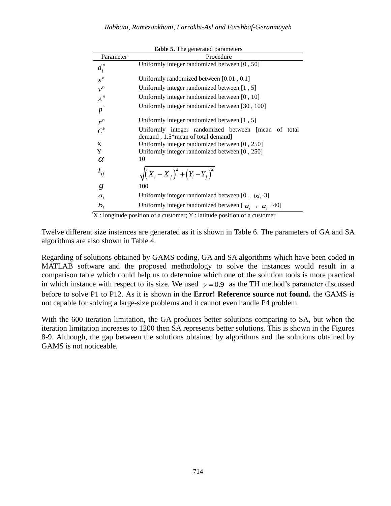|             | <b>Table 5.</b> The generated parameters                                                 |
|-------------|------------------------------------------------------------------------------------------|
| Parameter   | Procedure                                                                                |
| $d_i^n$     | Uniformly integer randomized between [0, 50]                                             |
| $s^n$       | Uniformly randomized between $[0.01, 0.1]$                                               |
| $v^n$       | Uniformly integer randomized between [1, 5]                                              |
| $\lambda^n$ | Uniformly integer randomized between [0, 10]                                             |
| $p^n$       | Uniformly integer randomized between [30, 100]                                           |
| $r^n$       | Uniformly integer randomized between [1, 5]                                              |
| $C^k$       | Uniformly integer randomized between [mean of total<br>demand, 1.5*mean of total demand] |
| X           | Uniformly integer randomized between [0, 250]                                            |
| Y           | Uniformly integer randomized between [0, 250]                                            |
| $\alpha$    | 10                                                                                       |
| $t_{ij}$    | $\sqrt{(X_i - X_j)^2 + (Y_i - Y_j)^2}$                                                   |
| g           | 100                                                                                      |
| $a_i$       | Uniformly integer randomized between [0, $lsl_i$ -3]                                     |
| $b_i$       | Uniformly integer randomized between [ $a_i$ , $a_i$ +40]                                |
|             |                                                                                          |

**Table 5. The grade parameters** 

 $*X:$  longitude position of a customer; Y : latitude position of a customer

Twelve different size instances are generated as it is shown in Table 6. The parameters of GA and SA algorithms are also shown in Table 4.

Regarding of solutions obtained by GAMS coding, GA and SA algorithms which have been coded in MATLAB software and the proposed methodology to solve the instances would result in a comparison table which could help us to determine which one of the solution tools is more practical in which instance with respect to its size. We used  $\gamma = 0.9$  as the TH method's parameter discussed before to solve P1 to P12. As it is shown in the **Error! Reference source not found.** the GAMS is not capable for solving a large-size problems and it cannot even handle P4 problem.

With the 600 iteration limitation, the GA produces better solutions comparing to SA, but when the iteration limitation increases to 1200 then SA represents better solutions. This is shown in the Figures 8-9. Although, the gap between the solutions obtained by algorithms and the solutions obtained by GAMS is not noticeable.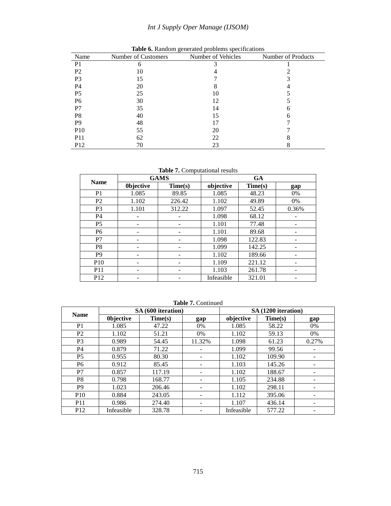# *Int J Supply Oper Manage (IJSOM)*

| Name            | Number of Customers | Number of Vehicles | Number of Products |
|-----------------|---------------------|--------------------|--------------------|
| P <sub>1</sub>  | 6                   |                    |                    |
| P <sub>2</sub>  | 10                  |                    |                    |
| P <sub>3</sub>  | 15                  |                    |                    |
| P4              | 20                  |                    |                    |
| P <sub>5</sub>  | 25                  | 10                 |                    |
| P <sub>6</sub>  | 30                  | 12                 |                    |
| P7              | 35                  | 14                 |                    |
| P <sub>8</sub>  | 40                  | 15                 |                    |
| P <sub>9</sub>  | 48                  | 17                 |                    |
| <b>P10</b>      | 55                  | 20                 |                    |
| <b>P11</b>      | 62                  | 22                 |                    |
| P <sub>12</sub> | 70                  | 23                 |                    |

**Table 6.** Random generated problems specifications

**Table 7.** Computational results

|                 | <b>GAMS</b>      |         | <b>GA</b>  |         |       |  |
|-----------------|------------------|---------|------------|---------|-------|--|
| <b>Name</b>     | <b>Objective</b> | Time(s) | objective  | Time(s) | gap   |  |
| P <sub>1</sub>  | 1.085            | 89.85   | 1.085      | 48.23   | 0%    |  |
| P <sub>2</sub>  | 1.102            | 226.42  | 1.102      | 49.89   | 0%    |  |
| P <sub>3</sub>  | 1.101            | 312.22  | 1.097      | 52.45   | 0.36% |  |
| <b>P4</b>       | -                |         | 1.098      | 68.12   |       |  |
| P <sub>5</sub>  |                  |         | 1.101      | 77.48   |       |  |
| P <sub>6</sub>  | -                |         | 1.101      | 89.68   |       |  |
| P7              | ۰                |         | 1.098      | 122.83  |       |  |
| P <sub>8</sub>  |                  |         | 1.099      | 142.25  |       |  |
| P <sub>9</sub>  | -                |         | 1.102      | 189.66  |       |  |
| P <sub>10</sub> | -                |         | 1.109      | 221.12  |       |  |
| <b>P11</b>      |                  |         | 1.103      | 261.78  |       |  |
| P <sub>12</sub> |                  |         | Infeasible | 321.01  |       |  |

| <b>Name</b>     | SA (600 iteration) |         |        | SA (1200 iteration) |         |       |
|-----------------|--------------------|---------|--------|---------------------|---------|-------|
|                 | <b>Objective</b>   | Time(s) | gap    | objective           | Time(s) | gap   |
| P <sub>1</sub>  | 1.085              | 47.22   | $0\%$  | 1.085               | 58.22   | 0%    |
| P <sub>2</sub>  | 1.102              | 51.21   | $0\%$  | 1.102               | 59.13   | 0%    |
| P <sub>3</sub>  | 0.989              | 54.45   | 11.32% | 1.098               | 61.23   | 0.27% |
| <b>P4</b>       | 0.879              | 71.22   |        | 1.099               | 99.56   |       |
| P <sub>5</sub>  | 0.955              | 80.30   |        | 1.102               | 109.90  |       |
| P <sub>6</sub>  | 0.912              | 85.45   | -      | 1.103               | 145.26  |       |
| P7              | 0.857              | 117.19  | -      | 1.102               | 188.67  |       |
| P <sub>8</sub>  | 0.798              | 168.77  |        | 1.105               | 234.88  |       |
| P <sub>9</sub>  | 1.023              | 206.46  | -      | 1.102               | 298.11  |       |
| P <sub>10</sub> | 0.884              | 243.05  | -      | 1.112               | 395.06  |       |
| P <sub>11</sub> | 0.986              | 274.40  |        | 1.107               | 436.14  |       |
| P <sub>12</sub> | Infeasible         | 328.78  |        | Infeasible          | 577.22  |       |

**Table 7.** Continued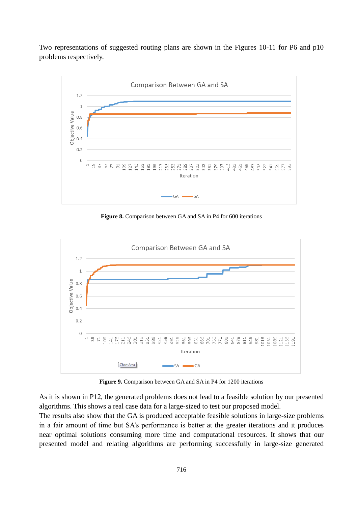Two representations of suggested routing plans are shown in the Figures 10-11 for P6 and p10 problems respectively.



**Figure 8.** Comparison between GA and SA in P4 for 600 iterations



**Figure 9.** Comparison between GA and SA in P4 for 1200 iterations

As it is shown in P12, the generated problems does not lead to a feasible solution by our presented algorithms. This shows a real case data for a large-sized to test our proposed model.

The results also show that the GA is produced acceptable feasible solutions in large-size problems in a fair amount of time but SA's performance is better at the greater iterations and it produces near optimal solutions consuming more time and computational resources. It shows that our presented model and relating algorithms are performing successfully in large-size generated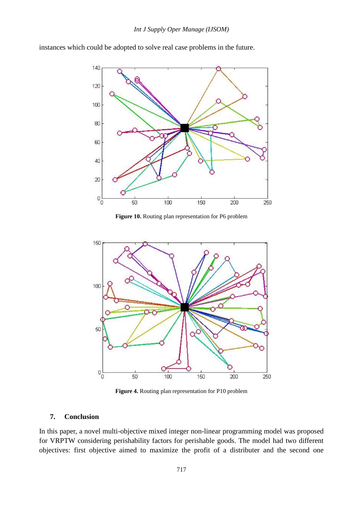

instances which could be adopted to solve real case problems in the future.

**Figure 10.** Routing plan representation for P6 problem



**Figure 4.** Routing plan representation for P10 problem

#### **7. Conclusion**

In this paper, a novel multi-objective mixed integer non-linear programming model was proposed for VRPTW considering perishability factors for perishable goods. The model had two different objectives: first objective aimed to maximize the profit of a distributer and the second one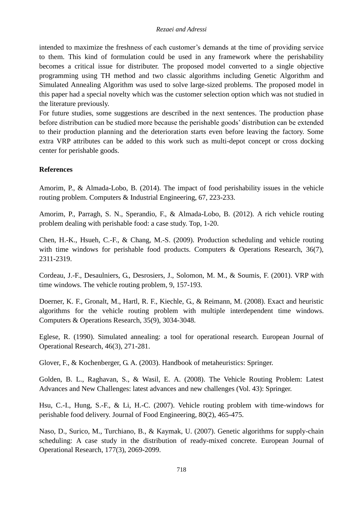#### *Rezaei and Adressi*

intended to maximize the freshness of each customer's demands at the time of providing service to them. This kind of formulation could be used in any framework where the perishability becomes a critical issue for distributer. The proposed model converted to a single objective programming using TH method and two classic algorithms including Genetic Algorithm and Simulated Annealing Algorithm was used to solve large-sized problems. The proposed model in this paper had a special novelty which was the customer selection option which was not studied in the literature previously.

For future studies, some suggestions are described in the next sentences. The production phase before distribution can be studied more because the perishable goods' distribution can be extended to their production planning and the deterioration starts even before leaving the factory. Some extra VRP attributes can be added to this work such as multi-depot concept or cross docking center for perishable goods.

#### **References**

Amorim, P., & Almada-Lobo, B. (2014). The impact of food perishability issues in the vehicle routing problem. Computers & Industrial Engineering, 67, 223-233.

Amorim, P., Parragh, S. N., Sperandio, F., & Almada-Lobo, B. (2012). A rich vehicle routing problem dealing with perishable food: a case study. Top, 1-20.

Chen, H.-K., Hsueh, C.-F., & Chang, M.-S. (2009). Production scheduling and vehicle routing with time windows for perishable food products. Computers & Operations Research, 36(7), 2311-2319.

Cordeau, J.-F., Desaulniers, G., Desrosiers, J., Solomon, M. M., & Soumis, F. (2001). VRP with time windows. The vehicle routing problem, 9, 157-193.

Doerner, K. F., Gronalt, M., Hartl, R. F., Kiechle, G., & Reimann, M. (2008). Exact and heuristic algorithms for the vehicle routing problem with multiple interdependent time windows. Computers & Operations Research, 35(9), 3034-3048.

Eglese, R. (1990). Simulated annealing: a tool for operational research. European Journal of Operational Research, 46(3), 271-281.

Glover, F., & Kochenberger, G. A. (2003). Handbook of metaheuristics: Springer.

Golden, B. L., Raghavan, S., & Wasil, E. A. (2008). The Vehicle Routing Problem: Latest Advances and New Challenges: latest advances and new challenges (Vol. 43): Springer.

Hsu, C.-I., Hung, S.-F., & Li, H.-C. (2007). Vehicle routing problem with time-windows for perishable food delivery. Journal of Food Engineering, 80(2), 465-475.

Naso, D., Surico, M., Turchiano, B., & Kaymak, U. (2007). Genetic algorithms for supply-chain scheduling: A case study in the distribution of ready-mixed concrete. European Journal of Operational Research, 177(3), 2069-2099.